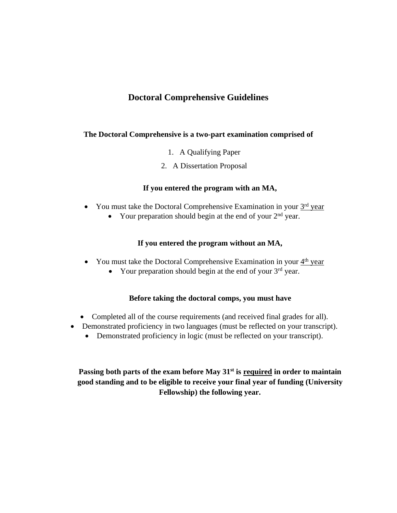### **Doctoral Comprehensive Guidelines**

#### **The Doctoral Comprehensive is a two-part examination comprised of**

- 1. A Qualifying Paper
- 2. A Dissertation Proposal

#### **If you entered the program with an MA,**

- You must take the Doctoral Comprehensive Examination in your  $3<sup>rd</sup>$  year
	- Your preparation should begin at the end of your  $2<sup>nd</sup>$  year.

#### **If you entered the program without an MA,**

- You must take the Doctoral Comprehensive Examination in your  $4<sup>th</sup>$  year
	- Your preparation should begin at the end of your  $3<sup>rd</sup>$  year.

#### **Before taking the doctoral comps, you must have**

- Completed all of the course requirements (and received final grades for all).
- Demonstrated proficiency in two languages (must be reflected on your transcript).
	- Demonstrated proficiency in logic (must be reflected on your transcript).

Passing both parts of the exam before May 31<sup>st</sup> is required in order to maintain **good standing and to be eligible to receive your final year of funding (University Fellowship) the following year.**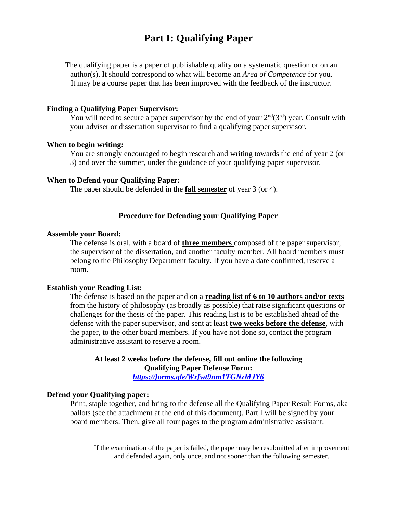## **Part I: Qualifying Paper**

The qualifying paper is a paper of publishable quality on a systematic question or on an author(s). It should correspond to what will become an *Area of Competence* for you. It may be a course paper that has been improved with the feedback of the instructor.

#### **Finding a Qualifying Paper Supervisor:**

You will need to secure a paper supervisor by the end of your  $2<sup>nd</sup>(3<sup>rd</sup>)$  year. Consult with your adviser or dissertation supervisor to find a qualifying paper supervisor.

#### **When to begin writing:**

You are strongly encouraged to begin research and writing towards the end of year 2 (or 3) and over the summer, under the guidance of your qualifying paper supervisor.

#### **When to Defend your Qualifying Paper:**

The paper should be defended in the **fall semester** of year 3 (or 4).

#### **Procedure for Defending your Qualifying Paper**

#### **Assemble your Board:**

The defense is oral, with a board of **three members** composed of the paper supervisor, the supervisor of the dissertation, and another faculty member. All board members must belong to the Philosophy Department faculty. If you have a date confirmed, reserve a room.

#### **Establish your Reading List:**

The defense is based on the paper and on a **reading list of 6 to 10 authors and/or texts** from the history of philosophy (as broadly as possible) that raise significant questions or challenges for the thesis of the paper. This reading list is to be established ahead of the defense with the paper supervisor, and sent at least **two weeks before the defense**, with the paper, to the other board members. If you have not done so, contact the program administrative assistant to reserve a room.

**At least 2 weeks before the defense, fill out online the following Qualifying Paper Defense Form:**

*<https://forms.gle/Wrfwt9nm1TGNzMJY6>*

#### **Defend your Qualifying paper:**

Print, staple together, and bring to the defense all the Qualifying Paper Result Forms, aka ballots (see the attachment at the end of this document). Part I will be signed by your board members. Then, give all four pages to the program administrative assistant.

If the examination of the paper is failed, the paper may be resubmitted after improvement and defended again, only once, and not sooner than the following semester.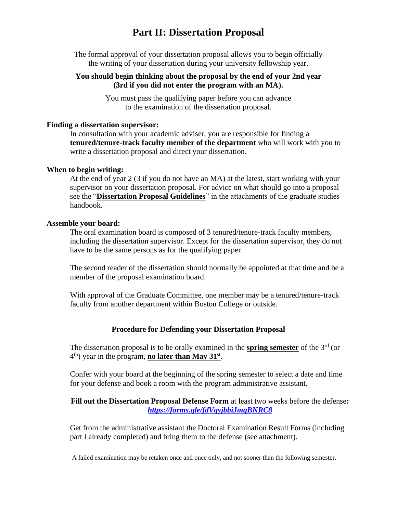## **Part II: Dissertation Proposal**

The formal approval of your dissertation proposal allows you to begin officially the writing of your dissertation during your university fellowship year.

#### **You should begin thinking about the proposal by the end of your 2nd year (3rd if you did not enter the program with an MA).**

You must pass the qualifying paper before you can advance to the examination of the dissertation proposal.

#### **Finding a dissertation supervisor:**

In consultation with your academic adviser, you are responsible for finding a **tenured/tenure-track faculty member of the department** who will work with you to write a dissertation proposal and direct your dissertation.

#### **When to begin writing:**

At the end of year 2 (3 if you do not have an MA) at the latest, start working with your supervisor on your dissertation proposal. For advice on what should go into a proposal see the "**Dissertation Proposal Guidelines**" in the attachments of the graduate studies handbook.

#### **Assemble your board:**

The oral examination board is composed of 3 tenured/tenure-track faculty members, including the dissertation supervisor. Except for the dissertation supervisor, they do not have to be the same persons as for the qualifying paper.

The second reader of the dissertation should normally be appointed at that time and be a member of the proposal examination board.

With approval of the Graduate Committee, one member may be a tenured/tenure-track faculty from another department within Boston College or outside.

#### **Procedure for Defending your Dissertation Proposal**

The dissertation proposal is to be orally examined in the **spring semester** of the 3rd (or 4<sup>th</sup>) year in the program, **no later than May 31**<sup>st</sup>.

Confer with your board at the beginning of the spring semester to select a date and time for your defense and book a room with the program administrative assistant.

#### **Fill out the Dissertation Proposal Defense Form** at least two weeks before the defense**:** *<https://forms.gle/fdVgyjbbiJmqBNRC8>*

Get from the administrative assistant the Doctoral Examination Result Forms (including part I already completed) and bring them to the defense (see attachment).

A failed examination may be retaken once and once only, and not sooner than the following semester.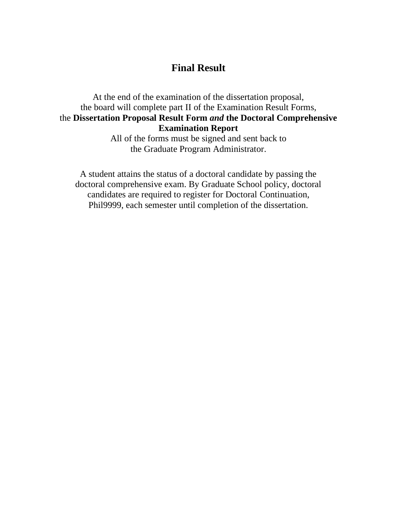## **Final Result**

### At the end of the examination of the dissertation proposal, the board will complete part II of the Examination Result Forms, the **Dissertation Proposal Result Form** *and* **the Doctoral Comprehensive Examination Report**

All of the forms must be signed and sent back to the Graduate Program Administrator.

A student attains the status of a doctoral candidate by passing the doctoral comprehensive exam. By Graduate School policy, doctoral candidates are required to register for Doctoral Continuation, Phil9999, each semester until completion of the dissertation.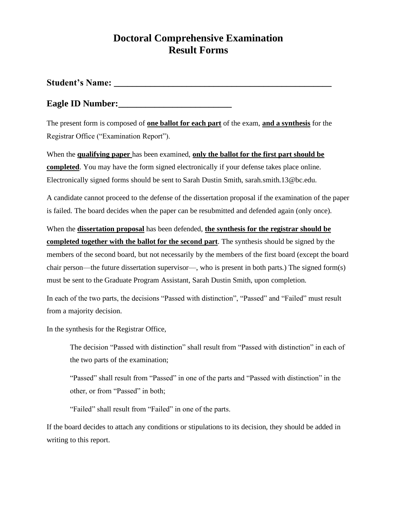## **Doctoral Comprehensive Examination Result Forms**

**Student's Name: \_\_\_\_\_\_\_\_\_\_\_\_\_\_\_\_\_\_\_\_\_\_\_\_\_\_\_\_\_\_\_\_\_\_\_\_\_\_\_\_\_\_\_\_\_\_\_\_**

### **Eagle ID Number:**

The present form is composed of **one ballot for each part** of the exam, **and a synthesis** for the Registrar Office ("Examination Report").

When the **qualifying paper** has been examined, **only the ballot for the first part should be completed**. You may have the form signed electronically if your defense takes place online. Electronically signed forms should be sent to Sarah Dustin Smith, sarah.smith.13@bc.edu.

A candidate cannot proceed to the defense of the dissertation proposal if the examination of the paper is failed. The board decides when the paper can be resubmitted and defended again (only once).

When the **dissertation proposal** has been defended, **the synthesis for the registrar should be completed together with the ballot for the second part**. The synthesis should be signed by the members of the second board, but not necessarily by the members of the first board (except the board chair person—the future dissertation supervisor—, who is present in both parts.) The signed form(s) must be sent to the Graduate Program Assistant, Sarah Dustin Smith, upon completion.

In each of the two parts, the decisions "Passed with distinction", "Passed" and "Failed" must result from a majority decision.

In the synthesis for the Registrar Office,

The decision "Passed with distinction" shall result from "Passed with distinction" in each of the two parts of the examination;

"Passed" shall result from "Passed" in one of the parts and "Passed with distinction" in the other, or from "Passed" in both;

"Failed" shall result from "Failed" in one of the parts.

If the board decides to attach any conditions or stipulations to its decision, they should be added in writing to this report.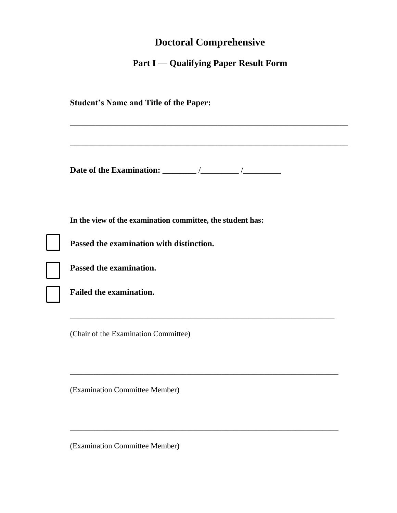# **Doctoral Comprehensive**

## **Part I — Qualifying Paper Result Form**

|                                | In the view of the examination committee, the student has: |  |  |
|--------------------------------|------------------------------------------------------------|--|--|
|                                | Passed the examination with distinction.                   |  |  |
| Passed the examination.        |                                                            |  |  |
| <b>Failed the examination.</b> |                                                            |  |  |
|                                | (Chair of the Examination Committee)                       |  |  |
|                                |                                                            |  |  |

\_\_\_\_\_\_\_\_\_\_\_\_\_\_\_\_\_\_\_\_\_\_\_\_\_\_\_\_\_\_\_\_\_\_\_\_\_\_\_\_\_\_\_\_\_\_\_\_\_\_\_\_\_\_\_\_\_\_\_\_\_\_\_\_\_\_\_\_\_

(Examination Committee Member)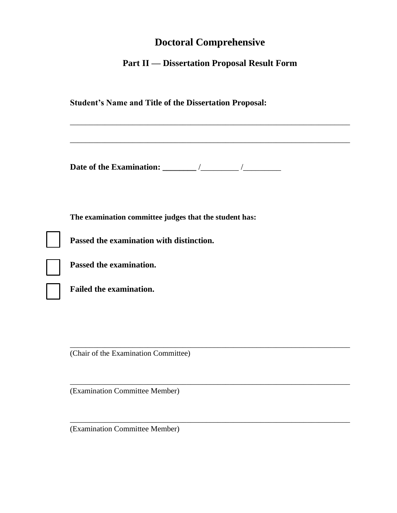# **Doctoral Comprehensive**

## **Part II — Dissertation Proposal Result Form**

| <b>Student's Name and Title of the Dissertation Proposal:</b>                                      |
|----------------------------------------------------------------------------------------------------|
|                                                                                                    |
| The examination committee judges that the student has:<br>Passed the examination with distinction. |
| Passed the examination.                                                                            |
| <b>Failed the examination.</b>                                                                     |
| (Chair of the Examination Committee)                                                               |

\_\_\_\_\_\_\_\_\_\_\_\_\_\_\_\_\_\_\_\_\_\_\_\_\_\_\_\_\_\_\_\_\_\_\_\_\_\_\_\_\_\_\_\_\_\_\_\_\_\_\_\_\_\_\_\_\_\_\_\_\_\_\_\_\_\_\_\_\_\_\_\_

\_\_\_\_\_\_\_\_\_\_\_\_\_\_\_\_\_\_\_\_\_\_\_\_\_\_\_\_\_\_\_\_\_\_\_\_\_\_\_\_\_\_\_\_\_\_\_\_\_\_\_\_\_\_\_\_\_\_\_\_\_\_\_\_\_\_\_\_\_\_\_\_

(Examination Committee Member)

(Examination Committee Member)